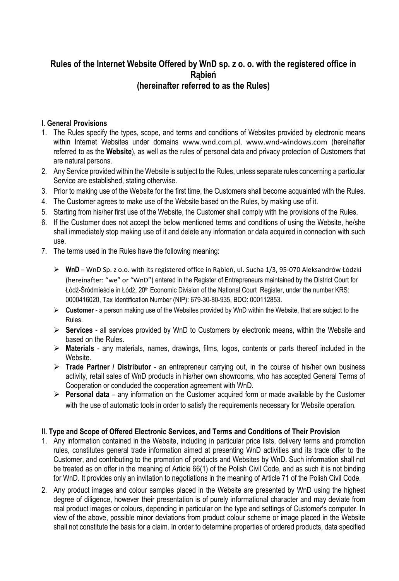# **Rules of the Internet Website Offered by WnD sp. z o. o. with the registered office in Rąbień (hereinafter referred to as the Rules)**

#### **I. General Provisions**

- 1. The Rules specify the types, scope, and terms and conditions of Websites provided by electronic means within Internet Websites under domains www.wnd.com.pl, www.wnd-windows.com (hereinafter referred to as the **Website**), as well as the rules of personal data and privacy protection of Customers that are natural persons.
- 2. Any Service provided within the Website is subject to the Rules, unless separate rules concerning a particular Service are established, stating otherwise.
- 3. Prior to making use of the Website for the first time, the Customers shall become acquainted with the Rules.
- 4. The Customer agrees to make use of the Website based on the Rules, by making use of it.
- 5. Starting from his/her first use of the Website, the Customer shall comply with the provisions of the Rules.
- 6. If the Customer does not accept the below mentioned terms and conditions of using the Website, he/she shall immediately stop making use of it and delete any information or data acquired in connection with such use.
- 7. The terms used in the Rules have the following meaning:
	- **WnD** WnD Sp. z o.o. with its registered office in Rąbień, ul. Sucha 1/3, 95-070 Aleksandrów Łódzki (hereinafter: "we" or "WnD") entered in the Register of Entrepreneurs maintained by the District Court for Łódź-Śródmieście in Łódź, 20<sup>th</sup> Economic Division of the National Court Register, under the number KRS: 0000416020, Tax Identification Number (NIP): 679-30-80-935, BDO: 000112853.
	- **Customer** a person making use of the Websites provided by WnD within the Website, that are subject to the Rules.
	- **Services** all services provided by WnD to Customers by electronic means, within the Website and based on the Rules.
	- **Materials** any materials, names, drawings, films, logos, contents or parts thereof included in the Website.
	- **Trade Partner / Distributor**  an entrepreneur carrying out, in the course of his/her own business activity, retail sales of WnD products in his/her own showrooms, who has accepted General Terms of Cooperation or concluded the cooperation agreement with WnD.
	- **Personal data**  any information on the Customer acquired form or made available by the Customer with the use of automatic tools in order to satisfy the requirements necessary for Website operation.

#### **II. Type and Scope of Offered Electronic Services, and Terms and Conditions of Their Provision**

- 1. Any information contained in the Website, including in particular price lists, delivery terms and promotion rules, constitutes general trade information aimed at presenting WnD activities and its trade offer to the Customer, and contributing to the promotion of products and Websites by WnD. Such information shall not be treated as on offer in the meaning of Article 66(1) of the Polish Civil Code, and as such it is not binding for WnD. It provides only an invitation to negotiations in the meaning of Article 71 of the Polish Civil Code.
- 2. Any product images and colour samples placed in the Website are presented by WnD using the highest degree of diligence, however their presentation is of purely informational character and may deviate from real product images or colours, depending in particular on the type and settings of Customer's computer. In view of the above, possible minor deviations from product colour scheme or image placed in the Website shall not constitute the basis for a claim. In order to determine properties of ordered products, data specified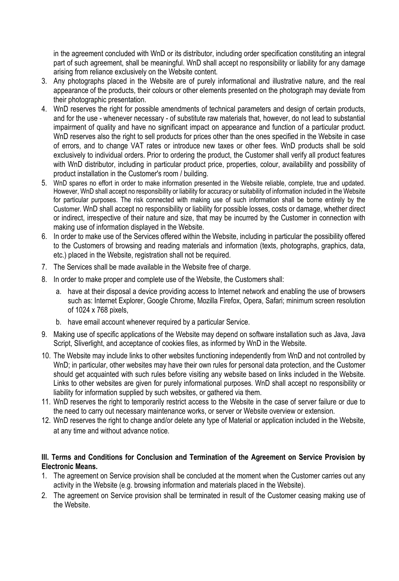in the agreement concluded with WnD or its distributor, including order specification constituting an integral part of such agreement, shall be meaningful. WnD shall accept no responsibility or liability for any damage arising from reliance exclusively on the Website content.

- 3. Any photographs placed in the Website are of purely informational and illustrative nature, and the real appearance of the products, their colours or other elements presented on the photograph may deviate from their photographic presentation.
- 4. WnD reserves the right for possible amendments of technical parameters and design of certain products, and for the use - whenever necessary - of substitute raw materials that, however, do not lead to substantial impairment of quality and have no significant impact on appearance and function of a particular product. WnD reserves also the right to sell products for prices other than the ones specified in the Website in case of errors, and to change VAT rates or introduce new taxes or other fees. WnD products shall be sold exclusively to individual orders. Prior to ordering the product, the Customer shall verify all product features with WnD distributor, including in particular product price, properties, colour, availability and possibility of product installation in the Customer's room / building.
- 5. WnD spares no effort in order to make information presented in the Website reliable, complete, true and updated. However, WnD shall accept no responsibility or liability for accuracy or suitability of information included in the Website for particular purposes. The risk connected with making use of such information shall be borne entirely by the Customer. WnD shall accept no responsibility or liability for possible losses, costs or damage, whether direct or indirect, irrespective of their nature and size, that may be incurred by the Customer in connection with making use of information displayed in the Website.
- 6. In order to make use of the Services offered within the Website, including in particular the possibility offered to the Customers of browsing and reading materials and information (texts, photographs, graphics, data, etc.) placed in the Website, registration shall not be required.
- 7. The Services shall be made available in the Website free of charge.
- 8. In order to make proper and complete use of the Website, the Customers shall:
	- a. have at their disposal a device providing access to Internet network and enabling the use of browsers such as: Internet Explorer, Google Chrome, Mozilla Firefox, Opera, Safari; minimum screen resolution of 1024 x 768 pixels,
	- b. have email account whenever required by a particular Service.
- 9. Making use of specific applications of the Website may depend on software installation such as Java, Java Script, Sliverlight, and acceptance of cookies files, as informed by WnD in the Website.
- 10. The Website may include links to other websites functioning independently from WnD and not controlled by WnD; in particular, other websites may have their own rules for personal data protection, and the Customer should get acquainted with such rules before visiting any website based on links included in the Website. Links to other websites are given for purely informational purposes. WnD shall accept no responsibility or liability for information supplied by such websites, or gathered via them.
- 11. WnD reserves the right to temporarily restrict access to the Website in the case of server failure or due to the need to carry out necessary maintenance works, or server or Website overview or extension.
- 12. WnD reserves the right to change and/or delete any type of Material or application included in the Website, at any time and without advance notice.

# **III. Terms and Conditions for Conclusion and Termination of the Agreement on Service Provision by Electronic Means.**

- 1. The agreement on Service provision shall be concluded at the moment when the Customer carries out any activity in the Website (e.g. browsing information and materials placed in the Website).
- 2. The agreement on Service provision shall be terminated in result of the Customer ceasing making use of the Website.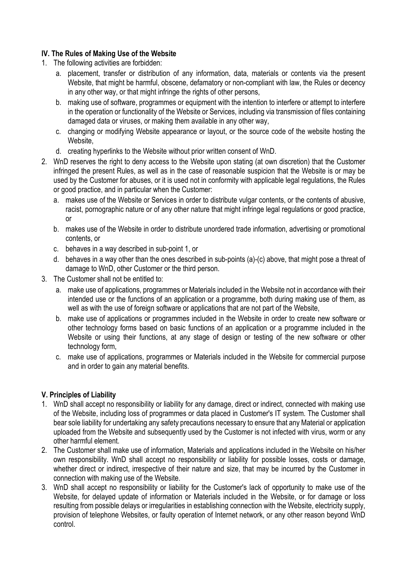# **IV. The Rules of Making Use of the Website**

- 1. The following activities are forbidden:
	- a. placement, transfer or distribution of any information, data, materials or contents via the present Website, that might be harmful, obscene, defamatory or non-compliant with law, the Rules or decency in any other way, or that might infringe the rights of other persons,
	- b. making use of software, programmes or equipment with the intention to interfere or attempt to interfere in the operation or functionality of the Website or Services, including via transmission of files containing damaged data or viruses, or making them available in any other way,
	- c. changing or modifying Website appearance or layout, or the source code of the website hosting the Website,
	- d. creating hyperlinks to the Website without prior written consent of WnD.
- 2. WnD reserves the right to deny access to the Website upon stating (at own discretion) that the Customer infringed the present Rules, as well as in the case of reasonable suspicion that the Website is or may be used by the Customer for abuses, or it is used not in conformity with applicable legal regulations, the Rules or good practice, and in particular when the Customer:
	- a. makes use of the Website or Services in order to distribute vulgar contents, or the contents of abusive, racist, pornographic nature or of any other nature that might infringe legal regulations or good practice, or
	- b. makes use of the Website in order to distribute unordered trade information, advertising or promotional contents, or
	- c. behaves in a way described in sub-point 1, or
	- d. behaves in a way other than the ones described in sub-points (a)-(c) above, that might pose a threat of damage to WnD, other Customer or the third person.
- 3. The Customer shall not be entitled to:
	- a. make use of applications, programmes or Materials included in the Website not in accordance with their intended use or the functions of an application or a programme, both during making use of them, as well as with the use of foreign software or applications that are not part of the Website,
	- b. make use of applications or programmes included in the Website in order to create new software or other technology forms based on basic functions of an application or a programme included in the Website or using their functions, at any stage of design or testing of the new software or other technology form,
	- c. make use of applications, programmes or Materials included in the Website for commercial purpose and in order to gain any material benefits.

#### **V. Principles of Liability**

- 1. WnD shall accept no responsibility or liability for any damage, direct or indirect, connected with making use of the Website, including loss of programmes or data placed in Customer's IT system. The Customer shall bear sole liability for undertaking any safety precautions necessary to ensure that any Material or application uploaded from the Website and subsequently used by the Customer is not infected with virus, worm or any other harmful element.
- 2. The Customer shall make use of information, Materials and applications included in the Website on his/her own responsibility. WnD shall accept no responsibility or liability for possible losses, costs or damage, whether direct or indirect, irrespective of their nature and size, that may be incurred by the Customer in connection with making use of the Website.
- 3. WnD shall accept no responsibility or liability for the Customer's lack of opportunity to make use of the Website, for delayed update of information or Materials included in the Website, or for damage or loss resulting from possible delays or irregularities in establishing connection with the Website, electricity supply, provision of telephone Websites, or faulty operation of Internet network, or any other reason beyond WnD control.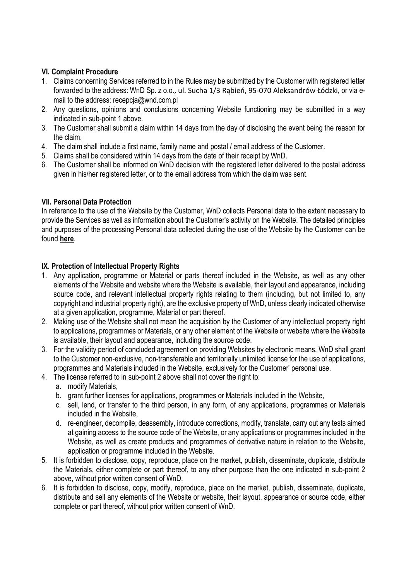# **VI. Complaint Procedure**

- 1. Claims concerning Services referred to in the Rules may be submitted by the Customer with registered letter forwarded to the address: WnD Sp. z o.o., ul. Sucha 1/3 Rąbień, 95-070 Aleksandrów Łódzki, or via email to the address: recepcja@wnd.com.pl
- 2. Any questions, opinions and conclusions concerning Website functioning may be submitted in a way indicated in sub-point 1 above.
- 3. The Customer shall submit a claim within 14 days from the day of disclosing the event being the reason for the claim.
- 4. The claim shall include a first name, family name and postal / email address of the Customer.
- 5. Claims shall be considered within 14 days from the date of their receipt by WnD.
- 6. The Customer shall be informed on WnD decision with the registered letter delivered to the postal address given in his/her registered letter, or to the email address from which the claim was sent.

# **VII. Personal Data Protection**

In reference to the use of the Website by the Customer, WnD collects Personal data to the extent necessary to provide the Services as well as information about the Customer's activity on the Website. The detailed principles and purposes of the processing Personal data collected during the use of the Website by the Customer can be found **[here](http://www.wnd-windows.com/privacy-policy/)**.

# **IX. Protection of Intellectual Property Rights**

- 1. Any application, programme or Material or parts thereof included in the Website, as well as any other elements of the Website and website where the Website is available, their layout and appearance, including source code, and relevant intellectual property rights relating to them (including, but not limited to, any copyright and industrial property right), are the exclusive property of WnD, unless clearly indicated otherwise at a given application, programme, Material or part thereof.
- 2. Making use of the Website shall not mean the acquisition by the Customer of any intellectual property right to applications, programmes or Materials, or any other element of the Website or website where the Website is available, their layout and appearance, including the source code.
- 3. For the validity period of concluded agreement on providing Websites by electronic means, WnD shall grant to the Customer non-exclusive, non-transferable and territorially unlimited license for the use of applications, programmes and Materials included in the Website, exclusively for the Customer' personal use.
- 4. The license referred to in sub-point 2 above shall not cover the right to:
	- a. modify Materials,
	- b. grant further licenses for applications, programmes or Materials included in the Website,
	- c. sell, lend, or transfer to the third person, in any form, of any applications, programmes or Materials included in the Website,
	- d. re-engineer, decompile, deassembly, introduce corrections, modify, translate, carry out any tests aimed at gaining access to the source code of the Website, or any applications or programmes included in the Website, as well as create products and programmes of derivative nature in relation to the Website, application or programme included in the Website.
- 5. It is forbidden to disclose, copy, reproduce, place on the market, publish, disseminate, duplicate, distribute the Materials, either complete or part thereof, to any other purpose than the one indicated in sub-point 2 above, without prior written consent of WnD.
- 6. It is forbidden to disclose, copy, modify, reproduce, place on the market, publish, disseminate, duplicate, distribute and sell any elements of the Website or website, their layout, appearance or source code, either complete or part thereof, without prior written consent of WnD.